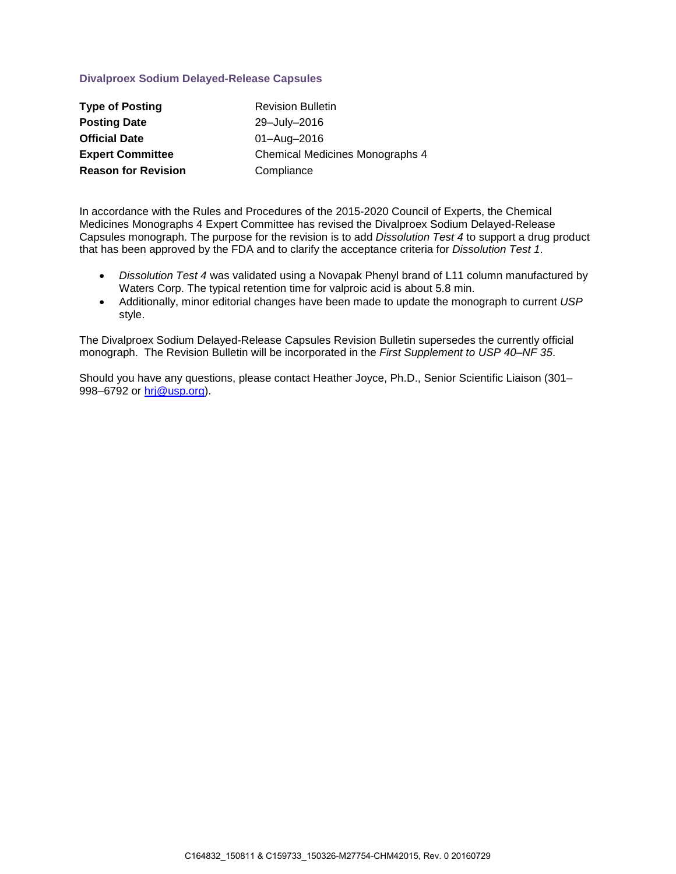## **Divalproex Sodium Delayed-Release Capsules**

| <b>Type of Posting</b>     | <b>Revision Bulletin</b>               |
|----------------------------|----------------------------------------|
| <b>Posting Date</b>        | 29-July-2016                           |
| <b>Official Date</b>       | 01-Aug-2016                            |
| <b>Expert Committee</b>    | <b>Chemical Medicines Monographs 4</b> |
| <b>Reason for Revision</b> | Compliance                             |

In accordance with the Rules and Procedures of the 2015-2020 Council of Experts, the Chemical Medicines Monographs 4 Expert Committee has revised the Divalproex Sodium Delayed-Release Capsules monograph. The purpose for the revision is to add *Dissolution Test 4* to support a drug product that has been approved by the FDA and to clarify the acceptance criteria for *Dissolution Test 1*.

- *Dissolution Test 4* was validated using a Novapak Phenyl brand of L11 column manufactured by Waters Corp. The typical retention time for valproic acid is about 5.8 min.
- Additionally, minor editorial changes have been made to update the monograph to current *USP*  style.

The Divalproex Sodium Delayed-Release Capsules Revision Bulletin supersedes the currently official monograph. The Revision Bulletin will be incorporated in the *First Supplement to USP 40–NF 35*.

Should you have any questions, please contact Heather Joyce, Ph.D., Senior Scientific Liaison (301– 998–6792 or [hrj@usp.org\)](mailto:hrj@usp.org).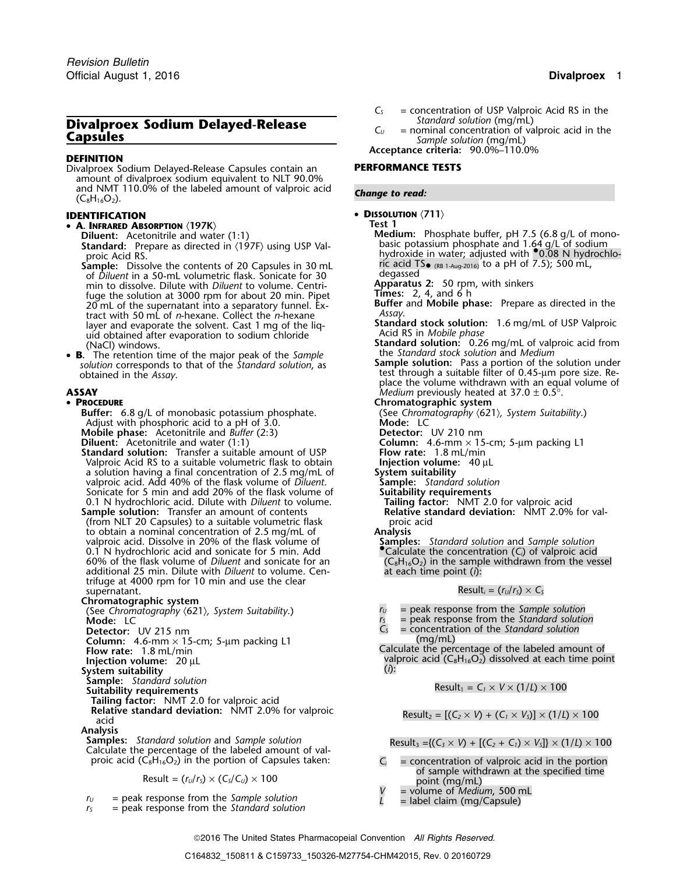# **Divalproex Sodium Delayed-Release**<br> **C**<sub>*U*</sub> = nominal concentration of valproic acid in the *Sample solution* (mg/mL)

## **DEFINITION**

Divalproex Sodium Delayed-Release Capsules contain an **PERFORMANCE TESTS** amount of divalproex sodium equivalent to NLT 90.0% and NMT 110.0% of the labeled amount of valproic acid **Change to read:** (C<sub>8</sub>H<sub>16</sub>O<sub>2</sub>).

- **<sup>A</sup>. INFRARED ABSORPTION** 〈**197K**〉 **Test 1**
	- Standard: Prepare as directed in  $\langle 197F \rangle$  using USP Valproic Acid RS.

**Sample:** Dissolve the contents of 20 Capsules in 30 mL card T<br>• of *Diluent* in a 50-mL volumetric flask Sonicate for 30 ml degassed of *Diluent* in a 50-mL volumetric flask. Sonicate for 30 degassed<br>min to dissolve. Dilute with *Diluent* to volume. Centri- **Apparatus 2:** 50 rpm, with sinkers min to dissolve. Dilute with *Diluent* to volume. Centri-**Apparatus 2:** 50 rpm, fuge the solution at 3000 rpm for about 20 min. Pinet **Times:** 2, 4, and 6 h fuge the solution at 3000 rpm for about 20 min. Pipet 20 mL of the supernatant into a separatory funnel. Ex-*Assay*. tract with 50 mL of *n*-hexane. Collect the *n*-hexane layer and evaporate the solvent. Cast 1 mg of the liq-**Standard stock solution**<br>uid obtained after evaporation to sodium chloride example in Acid RS in *Mobile phase* uid obtained after evaporation to sodium chloride (NaCl) windows.

• **B. <sup>B</sup>.** The retention time of the major peak of the *Sample* the *Standard stock solution* and *Medium* solution corresponds to that of the *Standard solution*, as obtained in the *Assay*.

### • PROCEDURE

**Buffer:** 6.8 g/L of monobasic potassium phosphate. (See *Chromatography in the suitably chromatography in the suitablity of the suitablity*  $\overline{A}$  *Mode: LC* Adjust with phosphoric acid to a pH of 3.0.<br> **Mobile phase:** Acetonitrile and *Buffer* (2:3) **Mobile phase:** UV 210 nm Mobile phase: Acetonitrile and *Buffer* (2:3) **Detector:** UV 210 nm<br> **Diluent:** Acetonitrile and water (1:1) **Column:** 4.6-mm × 15-cm; 5-µm packing L1<br> **Standard solution:** Transfer a suitable amount of USP **Properties:** 1 **Diluent:** Acetonitrile and water (1:1) **Column:** 4.6-mm × 15-cm; 5-µm packing L1 **Standard solution:** Transfer a suitable amount of USP **Flow rate:** 1.8 mL/min

Valproic Acid RS to a suitable volumetric flask to obtain **Injection volume:** 40 µL<br>a solution having a final concentration of 2.5 mg/mL of **System suitability**<br>valproic acid. Add 40% of the flask volume of *Diluent*. **Sam** a solution having a final concentration of 2.5 mg/mL of valproic acid. Add 40% of the flask volume of *Diluent*. **Sample:** *Standard solutio*<br>Sonicate for 5 min and add 20% of the flask volume of **Suitability requirements** Sonicate for 5 min and add 20% of the flask volume of **Suitability requirements**<br>
1.1 N hydrochloric acid. Dilute with *Diluent* to volume. **Tailing factor:** NMT 2.0 for valproic acid

- **Sample solution:** Transfer an amount of contents **Relative standard Relative standard deviation:** Transfer an amount of contents **Relative standard deviation:** Transfer an amount of contents **Relative standard deviation:** (from NLT 20 Capsules) to a suitable volumetric flask proic to obtain a nominal concentration of  $2.5 \text{ mg/mL}$  of **Analysis** to obtain a nominal concentration of 2.5 mg/mL of valproic acid. Dissolve in 20% of the flask volume of 0.1 N hydrochloric acid and sonicate for 5 min. Add 60% of the flask volume of *Diluent* and sonicate for an additional 25 min. Dilute with *Diluent* to volume. Cen- at each time point (*i*): trifuge at 4000 rpm for 10 min and use the clear
- **Chromatographic system**

(See *Chromatography*  $\langle 621 \rangle$ , *System Suitability*.) *r<sub>U</sub>* = peak response from the *Sample solution*<br>
Mode: LC<br>
Detector: UV 215 nm  $C_s$  = concentration of the *Standard solution* **Detector:** UV 215 nm  $\qquad \qquad$   $\qquad \qquad$   $\qquad \qquad$   $\qquad \qquad$   $\qquad \qquad$   $\qquad \qquad$   $\qquad \qquad$   $\qquad \qquad$   $\qquad \qquad$   $\qquad \qquad$   $\qquad \qquad$   $\qquad \qquad$   $\qquad \qquad$   $\qquad \qquad$   $\qquad \qquad$   $\qquad \qquad$   $\qquad \qquad$   $\qquad \qquad$   $\qquad \qquad$   $\qquad \qquad$ **Column:**  $4.6$ -mm  $\times$  15-cm; 5-µm packing L1  $\qquad \qquad$  (mg/mL) **System suitability** (*i*):<br>
System suitability (*i*):<br>
Sample: Standard solution

**Sample:** *Standard Solution* Result **Exhibits**  $\mathbf{F}$ 

**Tailing factor:** NMT 2.0 for valproic acid

**Relative standard deviation:** NMT 2.0% for valproic Result<sub>2</sub> =  $[(C_2 \times V) + (C_1 \times V_s)] \times (1/L) \times 100$  Result<sub>2</sub>

Analysis<br>Samples: Standard solution and Sample solution Calculate the percentage of the labeled amount of valproic acid ( $C_8H_{16}O_2$ ) in the portion of Capsules taken:  $C_i$  = concentration of valproic acid in the portion

- $\begin{array}{rcl} V & = & \text{peak response from the Sample solution} \\ r_{S} & = & \text{peak response from the Standard solution} \end{array}$  = label claim (mg/Capsule)
- 
- $C_5$  = concentration of USP Valproic Acid RS in the Standard solution (mg/mL)
- 

**Acceptance criteria:** 90.0%–110.0%

## • **DISSOLUTION** 〈**711**〉 **IDENTIFICATION**

- **Diluent:** Acetonitrile and water (1:1) **Medium:** Phosphate buffer, pH 7.5 (6.8 g/L of monobasic potassium phosphate and 1.64 g/L of sodium<br>hydroxide in water; adjusted with •0.08 N hydrochlo-<br>ric acid TS  $_{e}$  (RB 1-Aug-2016) to a pH of 7.5); 500 mL,
	-
	-
	- **Buffer** and **Mobile phase:** Prepare as directed in the *Assay*.
	-
	- **Standard solution:** 0.26 mg/mL of valproic acid from<br>the Standard stock solution and Medium
- test through a suitable filter of 0.45-µm pore size. Replace the volume withdrawn with an equal volume of **ASSAY** *Medium* previously heated at 37.0  $\pm$  0.5°.
	-
	- **Chromatographic system**<br>(See Chromatography  $\langle 621 \rangle$ , System Suitability.)
	-
	-
	-
	-
	-
	-
	- 0.1 N hydrochloric acid. Dilute with *Diluent* to volume. **Tailing factor:** NMT 2.0 for valproic acid
		-
		- **Samples:** *Standard solution* and *Sample solution*<br>
		Calculate the concentration (*C<sub>i</sub>*) of valproic acid<br>
		(*C<sub>8</sub>H<sub>16</sub>O<sub>2</sub>)* in the sample withdrawn from the vessel

 $Result_i = (r_U/r_S) \times C_S$ 

- 
- $=$  peak response from the *Standard solution*
- 

**Flow rate:** 1.8 mL/min  $\overline{\phantom{a}}$  in the percentage of the labeled amount of  $\overline{\phantom{a}}$  alproic acid (C<sub>8</sub>H<sub>16</sub>O<sub>2</sub>) dissolved at each time point  $\overline{\phantom{a}}$ 

$$
Result_1 = C_1 \times V \times (1/L) \times 100
$$

 $Result_3 = { (C_3 \times V) + [(C_2 + C_1) \times V_5] } \times (1/L) \times 100$ 

- Result =  $(r_U/r_S) \times (C_S/C_U) \times 100$ <br>
response from the Sample solution<br>  $V =$  volume of *Medium*, 500 mL
	-
	-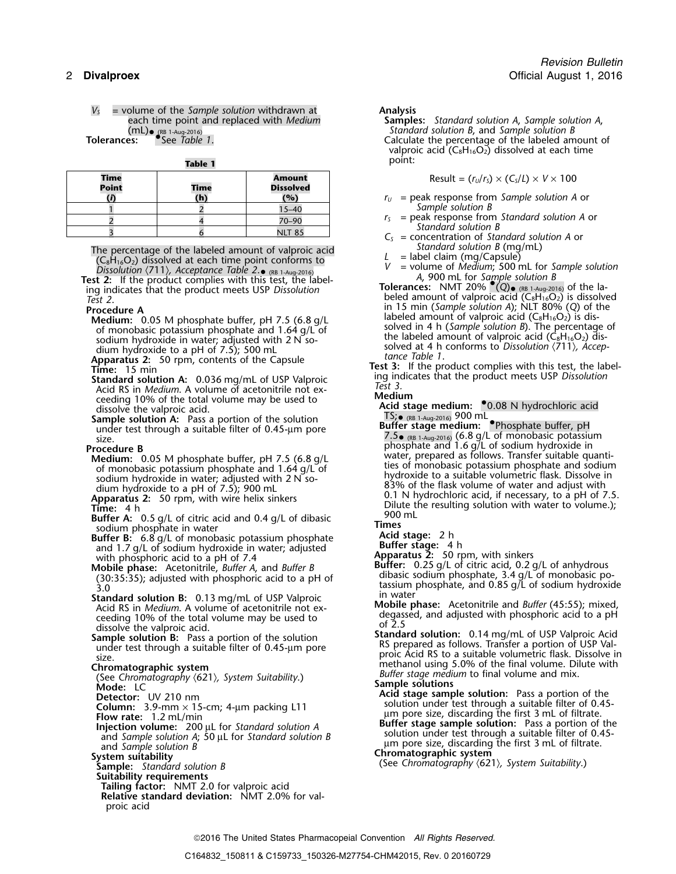*V<sup>S</sup>* = volume of the *Sample solution* withdrawn at **Analysis**  $(mL)$ •  $(RB 1-Aug-2016)$ <br>Tolerances: See Table 1.

| Table 1 | point: |
|---------|--------|
|         |        |

| <b>Time</b><br><b>Point</b> | Time<br>(h) | <b>Amount</b><br><b>Dissolved</b><br>(%) | Result = $(r_U/r_S) \times (C_S/L) \times V \times 100$<br>$r_U$ = peak response from Sample solution A |
|-----------------------------|-------------|------------------------------------------|---------------------------------------------------------------------------------------------------------|
|                             |             | $15 - 40$                                | Sample solution B                                                                                       |
|                             |             | 70-90                                    | $r_s$ = peak response from Standard solution                                                            |
|                             |             | <b>NLT 85</b>                            | Standard solution B<br>$C_{\epsilon}$ = concentration of Standard solution A o                          |

The percentage of the labeled amount of valproic acid<br>
(C<sub>8</sub>H<sub>16</sub>O<sub>2</sub>) dissolved at each time point conforms to <br> *L* = label claim (mg/Capsule)<br> *V* = volume of *Medium*; 500 mL for *Sample solution*<br> *V* = volume of *Med* 

(RB 1-Aug-2016) *<sup>A</sup>*, <sup>900</sup> mL for *Sample solution B* **Test 2:** If the product complies with this test, the label- **Tolerances:** NMT 20% •.(*Q*)•

- 
- ceeding 10% of the total volume may be used to
- Sample solution A: Pass a portion of the solution<br>under test through a suitable filter of 0.45-µm pore ample solution A. Tass a portion of the solution<br>
under test through a suitable filter of 0.45-µm pore 7.5• (RB 1-Aug-2016) (6.8 g/L of monobasic potassium

- 
- 
- **EXECUTE:** The phosphoric acid to a pH of 7.4<br>
with phosphoric acid to a pH of 7.4<br>
Which phase: Acetonitrile, *Buffer* A, and *Buffer* B<br>
(30:35:35); adjusted with phosphoric acid to a pH of dibasic sodium phosphate, 3.4
- 
- ceeding 10% of the total volume may be used to  $\frac{\text{degas}}{\text{of } 2.5}$
- 

See Chromatography (621), System Suitability.)<br> **Mode:** LC<br> **Mode:** LC<br> **Detector:** UV 210 nm<br> **Detector:** UV 210 nm

- 
- 
- 
- and *Sample solution B*<br>and *Sample solution B*<br>System suitability Chromatographic system suitability and *Suitpic system*<br> **System suitability**<br> **Sample:** Standard solution B<br> **Sample:** Standard solution B

- 
- **Suitability requirements**
- **Tailing factor:** NMT 2.0 for valproic acid **Relative standard deviation:** NMT 2.0% for valproic acid
- - each time point and replaced with *Medium* **Samples:** *Standard solution A*, *Sample solution A*, Standard solution B, and Sample solution B Calculate the percentage of the labeled amount of valproic acid  $(C_8H_{16}O_2)$  dissolved at each time point:

$$
Result = (r_U/r_S) \times (C_S/L) \times V \times 100
$$

- $r_U$  = peak response from *Sample solution A* or Sample solution *B*
- *r*<sub>S</sub> = peak response from *Standard solution A* or 3 *Standard solution B*  $C_5$  = concentration of *Standard solution A* or *Standard solution B* (mg/mL)
- 
- 
- *Dissolution <sup>V</sup>* = volume of *Medium*; 500 mL for *Sample solution* 〈711〉*, Acceptance Table 2*. •
- $T$  **Colerances:** NMT 20% (Q) (RB 1-Aug-2016) of the la-<br>
Tolerances: NMT 20% (Q) (RB 1-Aug-2016) of the la-<br>
Test 2.<br>
Procedure A **Procedure A**<br> **Medium:** 0.05 M phosphate buffer, pH 7.5 (6.8 g/L<br>
of monobasic potassium phosphate and 1.64 g/L of<br>
of monobasic potassium phosphate and 1.64 g/L of<br>
solved in 4 h (Sample solution B). The percentage of<br>

- **Acid stage medium:** •.0.08 N hydrochloric acid dissolve the valproic acid. TS;•
- <sup>p</sup>hosphate and 1.6 g/L of sodium hydroxide in **Procedure B Procedure B**<br>Medium: 0.05 M phosphate buffer, pH 7.5 (6.8 g/L water, prepared as follows. Transfer suitable quanti-<br>of monobasic potassium phosphate and 1.64 g/L of ties of monobasic potassium phosphate and sodium of monobasic potassium phosphate and 1.64 g/L of the solution of monobasic potassium phosphate and sodium<br>sodium hydroxide in water; adjusted with 2 N so-<br>a 20% of the flask volume of water and adjust with For the solium hydroxide in water; adjusted with 2 N so-<br>dium hydroxide to a pH of 7.5); 900 mL<br>**Apparatus 2:** 50 rpm, with wire helix sinkers<br>**Apparatus 2:** 50 rpm, with wire helix sinkers<br>**Example 1** and 0.4 g/L of diba

- 
- 
- 
- (30:35:35); adjusted with phosphoric acid to a pH of<br>3.0<br>3.0<br>**Standard solution B:** 0.13 mg/mL of USP Valproic<br>Acid RS in *Medium*. A volume of acetonitrile not ex-<br>Acid RS in *Medium*. A volume of acetonitrile not ex-<br>Ac
	-
- dissolve the valproic acid.<br> **Sample solution B:** Pass a portion of the solution<br> **Sample solution B:** Pass a portion of the solution<br>
under test through a suitable filter of 0.45-µm pore<br>
size.<br> **Chromatographic system**<br>

- **Column:** 3.9-mm × 15-cm; 4-µm packing L11 solution under test through a suitable filter of 0.45-<br> **Example 200 and Solution:** 200 µL for *Standard solution A* **Example Solution:** 200 µL for *Standard solution A* **Example** 
	- (See Chromatography  $\langle 621 \rangle$ , System Suitability.)

2016 The United States Pharmacopeial Convention *All Rights Reserved.*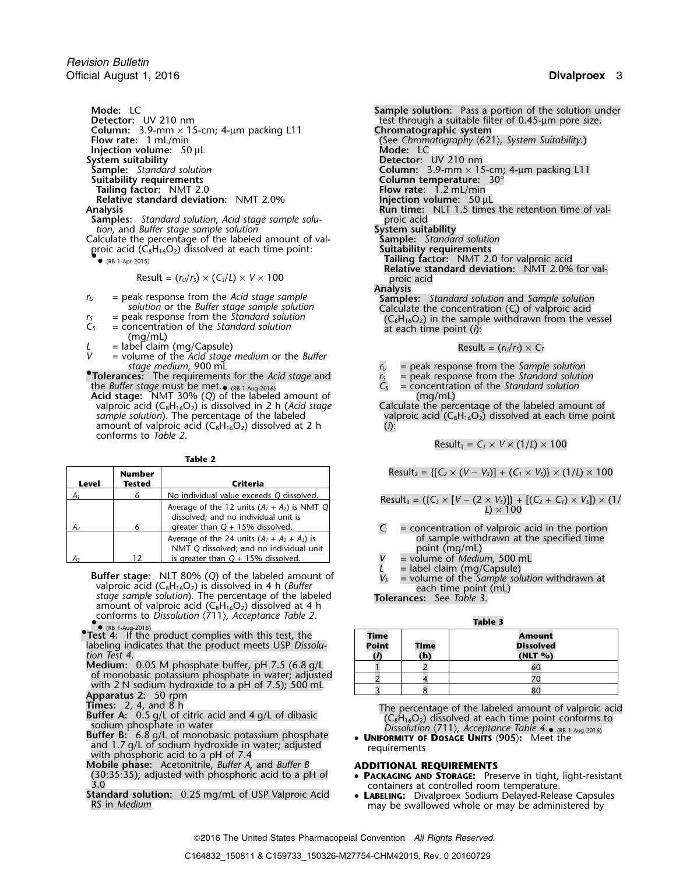**Mode:** LC **Sample solution:** Pass a portion of the solution under **Column:** 3.9-mm × 15-cm; 4-µm packing L11 **Chromatographic system**<br>**Flow rate:** 1 mL/min **COLUT 100 COLUTA** (See Chromatography  $\langle 62 \rangle$ **Injection volume:** 50 µL<br>**System suitability System suitability**<br> **Sample:** Standard solution **Detector:** UV 210 nm<br> **Sample:** Standard solution **Detector:** Column: 3.9-mm × 15 **Suitability requirements Column temperature:** 30° **Relative standard deviation:** NMT 2.0%<br>Analysis

- **Samples:** *Standard solution, Acid stage sample solu-* proic acid proic acid *tion, and Buffer stage sample solution*
- *tion*, and *Buffer stage sample solution*<br>alculate the percentage of the labeled amount of val-<br>proic acid (C<sub>8</sub>H<sub>16</sub>O<sub>2</sub>) dissolved at each time point: **Suitability requirements** Calculate the percentage of the labeled amount of val- **Sample:** *Standard solution* proic acid (C8H16O2) dissolved at each time point: **Suitability requirements** •
	- $\bullet$

$$
Result = (r_U/r_S) \times (C_S/L) \times V \times 100
$$

- 
- 
- 
- *V* = volume of the *Acid stage medium* or the *Buffer*

**Tolerances:** The requirements for the *Acid stage* and  $r_s$  = peak response from the *Standard solution* the *Buffer stage* must be met.  $\bullet$  (*RB* 1-Aug-2016)  $C_s$  = concentration of the *Standard solution* the *Buffer stage* must be met.•**Acid stage:** NMT 30% (*Q*) of the labeled amount of (mg/mL) **Acid stage:** NMT 30% (Q) of the labeled amount of (mg/mL)<br>valproic acid (C<sub>8</sub>H<sub>16</sub>O<sub>2</sub>) is dissolved in 2 h (*Acid stage* Calculate the percentage of the labeled amount of valproic acid (C<sub>8</sub>H<sub>16</sub>O<sub>2</sub>) dissolved at each t

amount of valproic acid  $(C_8H_{16}O_2)$  dissolved at 2 h (*i*): conforms to *Table 2*.

**Table 2**

|                | <b>Number</b> |                                                                                           | Result <sub>2</sub> = {[C <sub>2</sub> × (V – V <sub>S</sub> )] + (C <sub>1</sub> × V <sub>S</sub> )} × (1/L) × 100 |
|----------------|---------------|-------------------------------------------------------------------------------------------|---------------------------------------------------------------------------------------------------------------------|
| <b>Level</b>   | Tested        | Criteria                                                                                  |                                                                                                                     |
| $A_1$          |               | No individual value exceeds Q dissolved.                                                  | Result <sub>3</sub> = $({C_3} \times [V - (2 \times V_5)])$ + $[(C_2 + C_1) \times V_5]) \times (1/$                |
|                |               | Average of the 12 units $(A_1 + A_2)$ is NMT Q<br>dissolved; and no individual unit is    | $L \times 100$                                                                                                      |
| A <sub>2</sub> |               | greater than $Q + 15%$ dissolved.                                                         | $=$ concentration of valproic acid in the portion                                                                   |
|                |               | Average of the 24 units $(A_1 + A_2 + A_3)$ is<br>NMT Q dissolved; and no individual unit | of sample withdrawn at the specified time<br>point (mg/mL)                                                          |
| $A_3$          |               | is greater than $Q + 15\%$ dissolved.                                                     | = volume of <i>Medium</i> , 500 mL                                                                                  |

- **Buffer stage:** NLT 80% (*Q*) of the labeled amount of *V<sub>S</sub>* = volume of the *Sample solution* withdrawn at valproic acid (C<sub>8</sub>H<sub>16</sub>O<sub>2</sub>) is dissolved in 4 h (*Buffer* and *V*<sub>S</sub> = volume of the *Sample solution* withdra valproic acid (C<sub>8</sub>H<sub>16</sub>O<sub>2</sub>) is dissolved in 4 h (*Buffer* each time point (mL) *stage sample solution*). The percentage of the labeled **Tolerances:** See *Table 3.* amount of valproic acid (C $_8\mathsf{H}_{16}\mathsf{O}_2$ ) dissolved at 4 h conforms to *Dissolution* 〈711〉*, Acceptance Table 2*. • **Table 3**
- labeling indicates that the product meets USP *Dissolu-* **Point Time Dissolved** *tion Test 4*. **(***i***) (h) (NLT %)**
- **Medium:** 0.05 M phosphate buffer, pH 7.5 (6.8 g/L of monobasic potassium phosphate in water; adjusted with 2 N sodium hydroxide to a pH of 7.5); 500 mL<br>**Apparatus 2:** 50 rpm
- 
- 
- Buffer B: 6.8 g/L of monobasic potassium phosphate and 1.7 g/L of sodium hydroxide in water; adjusted requirements<br>with phosphoric acid to a pH of 7.4<br>**Mobile phase:** Acetonitrile, *Buffer A*, and *Buffer B* **ADDITIONAL REQUIREMENTS**
- 

**Detector:** UV 210 nm test through a suitable filter of 0.45-µm pore size. **Flow rate:** 1 mL/min (See *Chromatography* 〈621〉*, System Suitability*.) **Sample:** *Standard solution*<br> **Sample:** *Standard solution*<br> **Suitability requirements**<br> **Column temperature:** 30° **Flow rate:** 1.2 mL/min **Analysis Injection volume:** 50  $\mu$ L<br>**Run time:** NLT 1.5 times the retention time of val-<br>proic acid Tailing factor: NMT 2.0 for valproic acid **Relative standard deviation:** NMT 2.0% for val-Result = (*<sup>r</sup>U*/*<sup>r</sup>S*) × (*CS*/*L*) <sup>×</sup> *<sup>V</sup>* <sup>×</sup><sup>100</sup> proic acid Analysis<br>Samples: Standard solution and Sample solution  $r_U$  = peak response from the Acid stage sample<br>solution or the Buffer stage sample solution<br>Calculate the concentration (C<sub>i</sub>) of valproic acid *r*<sub>S</sub> = peak response from the *Standard solution*<br> *C<sub>S</sub>* = concentration of the *Standard solution* and at each time point (*i*): (mg/mL)  $L =$  label claim (mg/Capsule) **Result**<sub>*i*</sub> = (*r<sub>U</sub>*/*r<sub>S</sub>*) × *C<sub>S</sub> stage medium*, <sup>900</sup> mL *<sup>r</sup><sup>U</sup>* = peak response from the *Sample solution* **•**

- 
- $\bullet$  (RB 1-Aug-2016) **C**<sub>S</sub> = concentration of the *Standard solution*

valproic acid (C<sub>8</sub>H<sub>16</sub>O<sub>2</sub>) dissolved at each time point

 $Result_1 = C_1 \times V \times (1/L) \times 100$ 

$$
Result_3 = (\{C_3 \times [V - (2 \times V_3)]\} + [(C_2 + C_1) \times V_3]) \times (1 / L)
$$

- $A_i$  = concentration of valproic acid in the portion of sample withdrawn at the specified time
- point (mg/mL)<br>V = volume of *Mediu*
- *<sup>A</sup><sup>3</sup>* <sup>12</sup> is greater than *Q* + 15% dissolved. *V* = volume of *Medium*, 500 mL
- 

| • $(RB 1-Auq-2016)$                                                |       |      |                  |
|--------------------------------------------------------------------|-------|------|------------------|
| $\bullet$ Test 4: If the product complies with this test, the      | Time  |      | Amount           |
| labeling indicates that the product meets USP Dissolu-             | Point | Time | <b>Dissolved</b> |
| tion Test 4.                                                       |       |      | $(NLT \% )$      |
| <b>Medium:</b> 0.05 M phosphate buffer, pH 7.5 $(6.8 \text{ g/L})$ |       |      | 60               |
| of monobasic potassium phosphate in water; adjusted                |       |      |                  |
| with 2 N sodium hydroxide to a pH of $7.5$ ); 500 mL               |       |      |                  |
| Annarative 2: 50 mm                                                |       |      |                  |

Times: 2, 4, and 8 h<br>Buffer A: 0.5 g/L of citric acid and 4 g/L of dibasic<br>Buffer A: 0.5 g/L of citric acid and 4 g/L of dibasic<br>Buffer B: 6.8 g/L of monobasic potassium phosphate<br>Buffer B: 6.8 g/L of monobasic potassium Dissolution  $\langle 711 \rangle$ , Acceptance Table 4.  $_{\odot}$  (RB 1-Aug-2016)

- (30:35:35); adjusted with phosphoric acid to a pH of<br>3.0<br>**Standard solution:** 0.25 mg/mL of USP Valproic Acid<br>RS in *Medium*<br>RS in *Medium* 
	-

2016 The United States Pharmacopeial Convention *All Rights Reserved.*